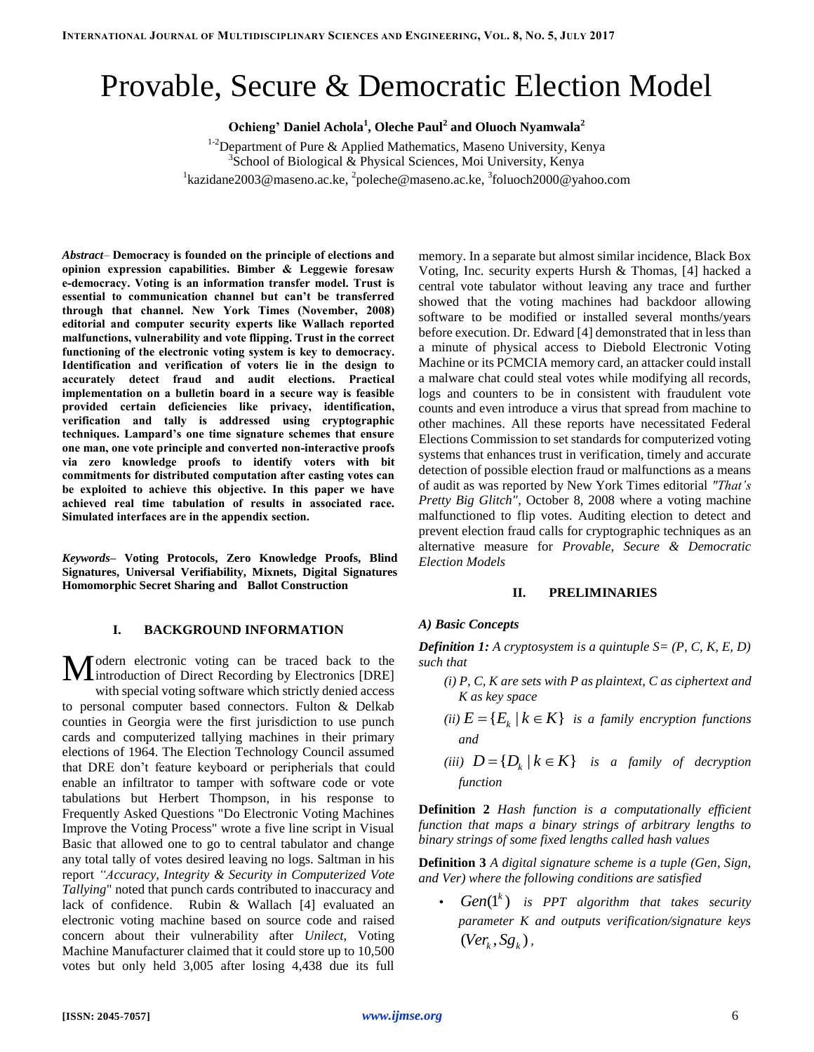# Provable, Secure & Democratic Election Model

**Ochieng' Daniel Achola<sup>1</sup> , Oleche Paul<sup>2</sup> and Oluoch Nyamwala<sup>2</sup>**

 $1-2$ Department of Pure & Applied Mathematics, Maseno University, Kenya <sup>3</sup>School of Biological & Physical Sciences, Moi University, Kenya <sup>1</sup>kazidane2003@maseno.ac.ke, <sup>2</sup>poleche@maseno.ac.ke, <sup>3</sup>foluoch2000@yahoo.com

*Abstract–* **Democracy is founded on the principle of elections and opinion expression capabilities. Bimber & Leggewie foresaw e-democracy. Voting is an information transfer model. Trust is essential to communication channel but can't be transferred through that channel. New York Times (November, 2008) editorial and computer security experts like Wallach reported malfunctions, vulnerability and vote flipping. Trust in the correct functioning of the electronic voting system is key to democracy. Identification and verification of voters lie in the design to accurately detect fraud and audit elections. Practical implementation on a bulletin board in a secure way is feasible provided certain deficiencies like privacy, identification, verification and tally is addressed using cryptographic techniques. Lampard's one time signature schemes that ensure one man, one vote principle and converted non-interactive proofs via zero knowledge proofs to identify voters with bit commitments for distributed computation after casting votes can be exploited to achieve this objective. In this paper we have achieved real time tabulation of results in associated race. Simulated interfaces are in the appendix section.**

*Keywords–* **Voting Protocols, Zero Knowledge Proofs, Blind Signatures, Universal Verifiability, Mixnets, Digital Signatures Homomorphic Secret Sharing and Ballot Construction**

## **I. BACKGROUND INFORMATION**

odern electronic voting can be traced back to the **M** odern electronic voting can be traced back to the introduction of Direct Recording by Electronics [DRE] with special voting software which strictly denied access to personal computer based connectors. Fulton & Delkab counties in Georgia were the first jurisdiction to use punch cards and computerized tallying machines in their primary elections of 1964. The Election Technology Council assumed that DRE don't feature keyboard or peripherials that could enable an infiltrator to tamper with software code or vote tabulations but Herbert Thompson, in his response to Frequently Asked Questions "Do Electronic Voting Machines Improve the Voting Process" wrote a five line script in Visual Basic that allowed one to go to central tabulator and change any total tally of votes desired leaving no logs. Saltman in his report *"Accuracy, Integrity & Security in Computerized Vote Tallying*" noted that punch cards contributed to inaccuracy and lack of confidence. Rubin & Wallach [4] evaluated an electronic voting machine based on source code and raised concern about their vulnerability after *Unilect*, Voting Machine Manufacturer claimed that it could store up to 10,500 votes but only held 3,005 after losing 4,438 due its full

memory. In a separate but almost similar incidence, Black Box Voting, Inc. security experts Hursh & Thomas, [4] hacked a central vote tabulator without leaving any trace and further showed that the voting machines had backdoor allowing software to be modified or installed several months/years before execution. Dr. Edward [4] demonstrated that in less than a minute of physical access to Diebold Electronic Voting Machine or its PCMCIA memory card, an attacker could install a malware chat could steal votes while modifying all records, logs and counters to be in consistent with fraudulent vote counts and even introduce a virus that spread from machine to other machines. All these reports have necessitated Federal Elections Commission to set standards for computerized voting systems that enhances trust in verification, timely and accurate detection of possible election fraud or malfunctions as a means of audit as was reported by New York Times editorial *"That's Pretty Big Glitch"*, October 8, 2008 where a voting machine malfunctioned to flip votes. Auditing election to detect and prevent election fraud calls for cryptographic techniques as an alternative measure for *Provable, Secure & Democratic Election Models*

#### **II. PRELIMINARIES**

#### *A) Basic Concepts*

*Definition 1:* A cryptosystem is a quintuple  $S = (P, C, K, E, D)$ *such that* 

- *(i) P, C, K are sets with P as plaintext, C as ciphertext and K as key space*
- *(ii)*  $E = \{E_k | k \in K\}$  *is a family encryption functions and*
- (*iii*)  $D = \{ D_k \mid k \in K \}$  *is a family of decryption function*

**Definition 2** *Hash function is a computationally efficient function that maps a binary strings of arbitrary lengths to binary strings of some fixed lengths called hash values*

**Definition 3** *A digital signature scheme is a tuple (Gen, Sign, and Ver) where the following conditions are satisfied* 

**•**  $Gen(1^k)$  *is PPT algorithm that takes security parameter K and outputs verification/signature keys*  $(Ver_k, Sg_k)$ ,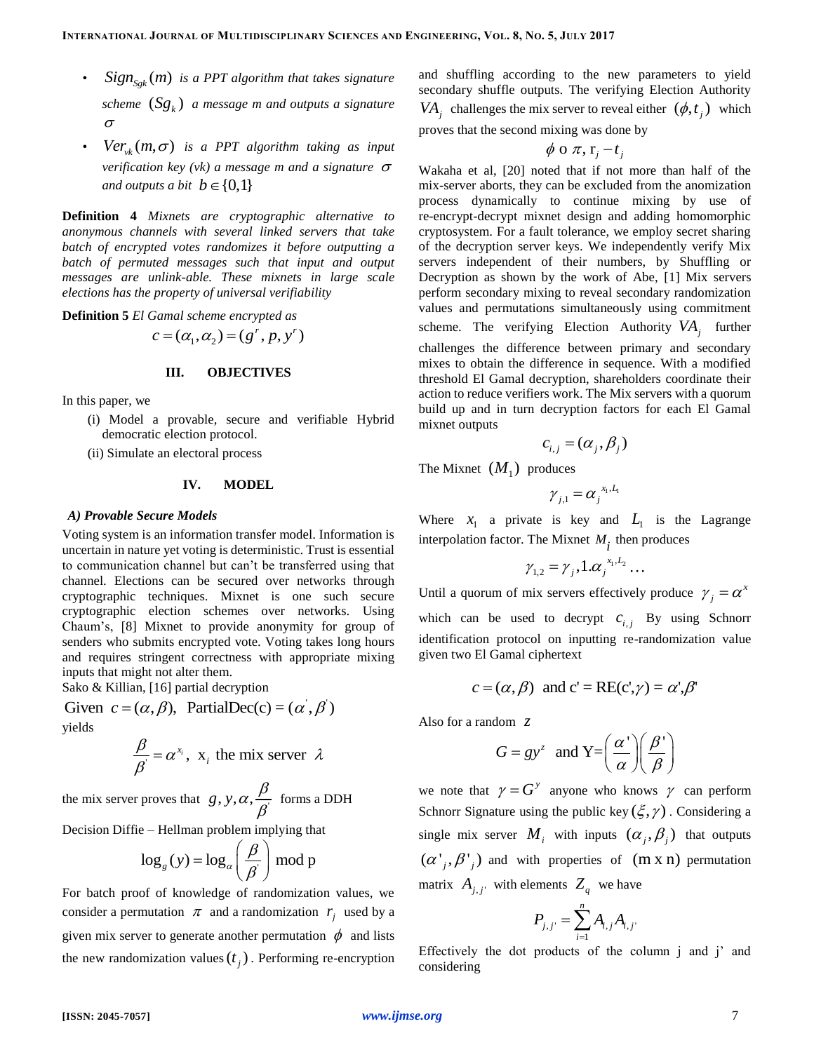- **•** Sign<sub>Sgk</sub> (*m*) is a PPT algorithm that takes signature  $s$ *cheme*  $(Sg_k)$  *a message m and outputs a signature* σ
- $Ver_{vk}(m, \sigma)$  *is a PPT algorithm taking as input verification key (vk) a message m and a signature and outputs a bit*  $b \in \{0,1\}$

**Definition 4** *Mixnets are cryptographic alternative to anonymous channels with several linked servers that take batch of encrypted votes randomizes it before outputting a batch of permuted messages such that input and output messages are unlink-able. These mixnets in large scale elections has the property of universal verifiability*

**Definition 5** *El Gamal scheme encrypted as* 

$$
c = (\alpha_1, \alpha_2) = (g^r, p, y^r)
$$

# **III. OBJECTIVES**

In this paper, we

- (i) Model a provable, secure and verifiable Hybrid democratic election protocol.
- (ii) Simulate an electoral process

# **IV. MODEL**

# *A) Provable Secure Models*

Voting system is an information transfer model. Information is uncertain in nature yet voting is deterministic. Trust is essential to communication channel but can't be transferred using that channel. Elections can be secured over networks through cryptographic techniques. Mixnet is one such secure cryptographic election schemes over networks. Using Chaum's, [8] Mixnet to provide anonymity for group of senders who submits encrypted vote. Voting takes long hours and requires stringent correctness with appropriate mixing inputs that might not alter them.

Sako & Killian, [16] partial decryption  
Given 
$$
c = (\alpha, \beta)
$$
, PartialDec(c) =  $(\alpha, \beta)$   
yields

$$
\frac{\beta}{\beta} = \alpha^{x_i}, \ \mathbf{x}_i \text{ the mix server } \lambda
$$

the mix server proves that  $g, y, \alpha, \frac{\beta}{\beta}$ forms a DDH

Decision Diffie – Hellman problem implying that<br> $log_2(y) = log_2(\beta)$  mod n

$$
\log_g(y) = \log_a\left(\frac{\beta}{\beta}\right) \text{ mod } p
$$

For batch proof of knowledge of randomization values, we consider a permutation  $\pi$  and a randomization  $r_j$  used by a given mix server to generate another permutation  $\phi$  and lists the new randomization values  $(t_j)$ . Performing re-encryption and shuffling according to the new parameters to yield secondary shuffle outputs. The verifying Election Authority  $VA_j$  challenges the mix server to reveal either  $(\phi, t_j)$  which

proves that the second mixing was done by

$$
\phi \text{ o } \pi, r_j - t_j
$$

Wakaha et al, [20] noted that if not more than half of the mix-server aborts, they can be excluded from the anomization process dynamically to continue mixing by use of re-encrypt-decrypt mixnet design and adding homomorphic cryptosystem. For a fault tolerance, we employ secret sharing of the decryption server keys. We independently verify Mix servers independent of their numbers, by Shuffling or Decryption as shown by the work of Abe, [1] Mix servers perform secondary mixing to reveal secondary randomization values and permutations simultaneously using commitment scheme. The verifying Election Authority *VA<sup>j</sup>* further challenges the difference between primary and secondary mixes to obtain the difference in sequence. With a modified threshold El Gamal decryption, shareholders coordinate their action to reduce verifiers work. The Mix servers with a quorum build up and in turn decryption factors for each El Gamal mixnet outputs

$$
c_{i,j} = (\alpha_j, \beta_j)
$$

The Mixnet  $(M_1)$  produces

$$
\gamma_{j,1} = \alpha_j^{x_1, L_1}
$$

Where  $x_1$  a private is key and  $L_1$  is the Lagrange interpolation factor. The Mixnet  $M_i$  then produces

$$
\gamma_{1,2} = \gamma_j, 1 \alpha_j^{x_1, L_2} \dots
$$

Until a quorum of mix servers effectively produce  $\gamma_i = \alpha^x$  $\gamma_j = \alpha$ which can be used to decrypt  $c_{i,j}$  By using Schnorr identification protocol on inputting re-randomization value given two El Gamal ciphertext

$$
c = (\alpha, \beta)
$$
 and  $c' = RE(c', \gamma) = \alpha', \beta'$ 

Also for a random *z*

$$
G = gy^{z} \text{ and } Y = \left(\frac{\alpha'}{\alpha}\right) \left(\frac{\beta'}{\beta}\right)
$$

we note that  $\gamma = G^y$  anyone who knows  $\gamma$  can perform Schnorr Signature using the public key  $(\xi, \gamma)$ . Considering a single mix server  $M_i$  with inputs  $(\alpha_j, \beta_j)$  that outputs  $(\alpha', \beta')$  and with properties of  $(m \times n)$  permutation matrix  $A_{j,j'}$  with elements  $Z_q$  we have

$$
P_{j,j'} = \sum_{i=1}^n A_{i,j} A_{i,j'}
$$

Effectively the dot products of the column j and j' and considering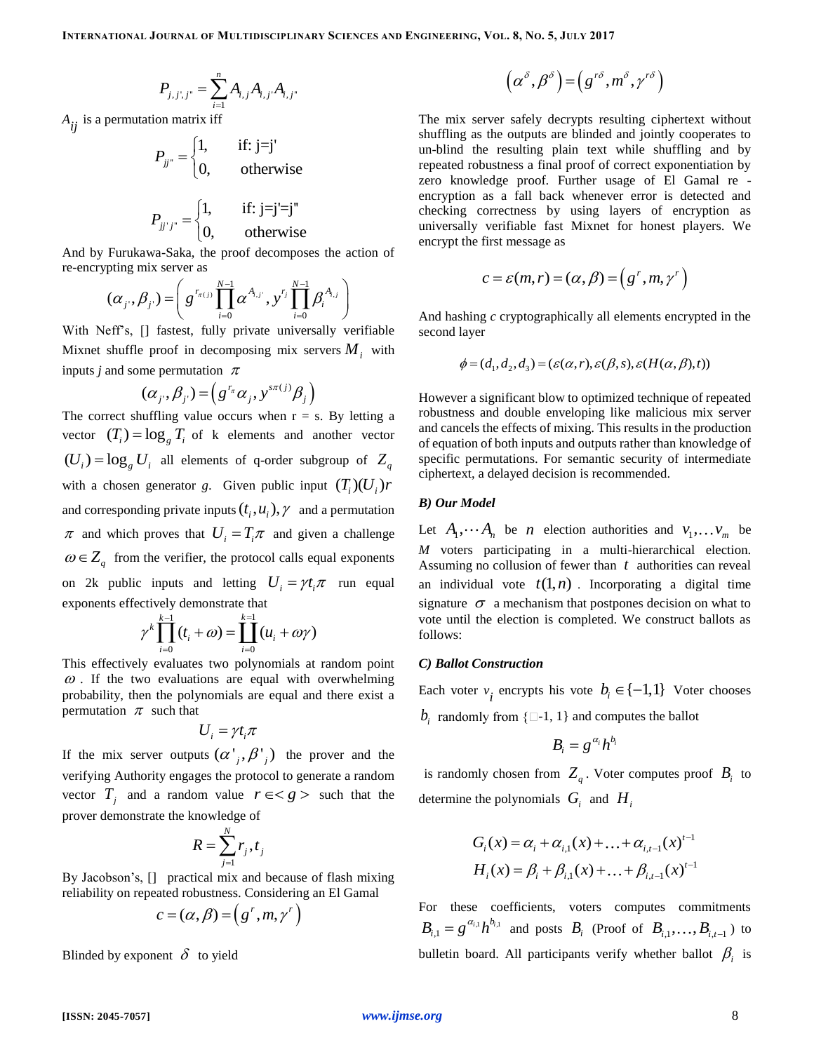$$
P_{j,j',j''} = \sum_{i=1}^{n} A_{i,j} A_{i,j'} A_{i,j''}
$$

*A ij* is a permutation matrix iff

$$
P_{jj'} = \begin{cases} 1, & \text{if: } j=j' \\ 0, & \text{otherwise} \end{cases}
$$

$$
P_{jj'j''} = \begin{cases} 1, & \text{if: } j=j' = j''\\ 0, & \text{otherwise} \end{cases}
$$

And by Furukawa-Saka, the proof decomposes the action of re-encrypting mix server as

$$
(\alpha_j, \beta_j) = \left( g^{r_{\pi(j)}} \prod_{i=0}^{N-1} \alpha^{A_{i,j}}, y^{r_j} \prod_{i=0}^{N-1} \beta_i^{A_{i,j}} \right)
$$

With Neff's, [] fastest, fully private universally verifiable Mixnet shuffle proof in decomposing mix servers  $M_i$  with inputs *j* and some permutation  $\pi$ 

$$
(\alpha_j, \beta_j) = (g^{r_{\pi}} \alpha_j, y^{s\pi(j)} \beta_j)
$$

The correct shuffling value occurs when  $r = s$ . By letting a vector  $(T_i) = \log_g T_i$  of k elements and another vector  $(U_i) = \log_g U_i$  all elements of q-order subgroup of  $Z_q$ with a chosen generator *g*. Given public input  $(T_i)(U_i)r$ and corresponding private inputs  $(t_i, u_i)$ ,  $\gamma$  and a permutation  $\pi$  and which proves that  $U_i = T_i \pi$  and given a challenge  $\omega \in Z_q$  from the verifier, the protocol calls equal exponents on 2k public inputs and letting  $U_i = \gamma t_i \pi$  run equal exponents effectively demonstrate that

$$
\gamma^k \prod_{i=0}^{k-1} (t_i + \omega) = \prod_{i=0}^{k-1} (u_i + \omega \gamma)
$$

This effectively evaluates two polynomials at random point  $\omega$ . If the two evaluations are equal with overwhelming probability, then the polynomials are equal and there exist a permutation  $\pi$  such that

$$
U_i = \gamma t_i \pi
$$

If the mix server outputs  $(\alpha^{\prime}, \beta^{\prime})$  the prover and the verifying Authority engages the protocol to generate a random vector  $T_j$  and a random value  $r \in \lt g >$  such that the prover demonstrate the knowledge of

$$
R = \sum_{j=1}^{N} r_j, t_j
$$

By Jacobson's, [] practical mix and because of flash mixing reliability on repeated robustness. Considering an El Gamal

$$
c = (\alpha, \beta) = (g^r, m, \gamma^r)
$$

Blinded by exponent  $\delta$  to yield

$$
(\alpha^{\delta}, \beta^{\delta}) = (g^{r\delta}, m^{\delta}, \gamma^{r\delta})
$$

The mix server safely decrypts resulting ciphertext without shuffling as the outputs are blinded and jointly cooperates to un-blind the resulting plain text while shuffling and by repeated robustness a final proof of correct exponentiation by zero knowledge proof. Further usage of El Gamal re encryption as a fall back whenever error is detected and checking correctness by using layers of encryption as universally verifiable fast Mixnet for honest players. We encrypt the first message as

$$
c = \varepsilon(m,r) = (\alpha,\beta) = (g^r,m,\gamma^r)
$$

And hashing *c* cryptographically all elements encrypted in the second layer

layer

\n
$$
\phi = (d_1, d_2, d_3) = (\varepsilon(\alpha, r), \varepsilon(\beta, s), \varepsilon(H(\alpha, \beta), t))
$$

However a significant blow to optimized technique of repeated robustness and double enveloping like malicious mix server and cancels the effects of mixing. This results in the production of equation of both inputs and outputs rather than knowledge of specific permutations. For semantic security of intermediate ciphertext, a delayed decision is recommended.

# *B) Our Model*

Let  $A_1, \dots, A_n$  be *n* election authorities and  $v_1, \dots, v_m$  be *M* voters participating in a multi-hierarchical election. Assuming no collusion of fewer than *t* authorities can reveal an individual vote  $t(1,n)$ . Incorporating a digital time signature  $\sigma$  a mechanism that postpones decision on what to vote until the election is completed. We construct ballots as follows:

#### *C) Ballot Construction*

Each voter  $v_i$  encrypts his vote  $b_i \in \{-1,1\}$  Voter chooses

 $\mathbf{b}_i$  randomly from  $\{\square -1, 1\}$  and computes the ballot

$$
B_i = g^{\alpha_i} h^{b_i}
$$

is randomly chosen from  $Z_q$ . Voter computes proof  $B_i$  to determine the polynomials  $G_i$  and  $H_i$ 

$$
G_i(x) = \alpha_i + \alpha_{i,1}(x) + \dots + \alpha_{i,t-1}(x)^{t-1}
$$
  

$$
H_i(x) = \beta_i + \beta_{i,1}(x) + \dots + \beta_{i,t-1}(x)^{t-1}
$$

For these coefficients, voters computes commitments  $B_{i,1} = g^{\alpha_{i,1}} h^{b_{i,1}}$  and posts  $B_i$  (Proof of  $B_{i,1},...,B_{i,t-1}$ ) to bulletin board. All participants verify whether ballot  $\beta_i$  is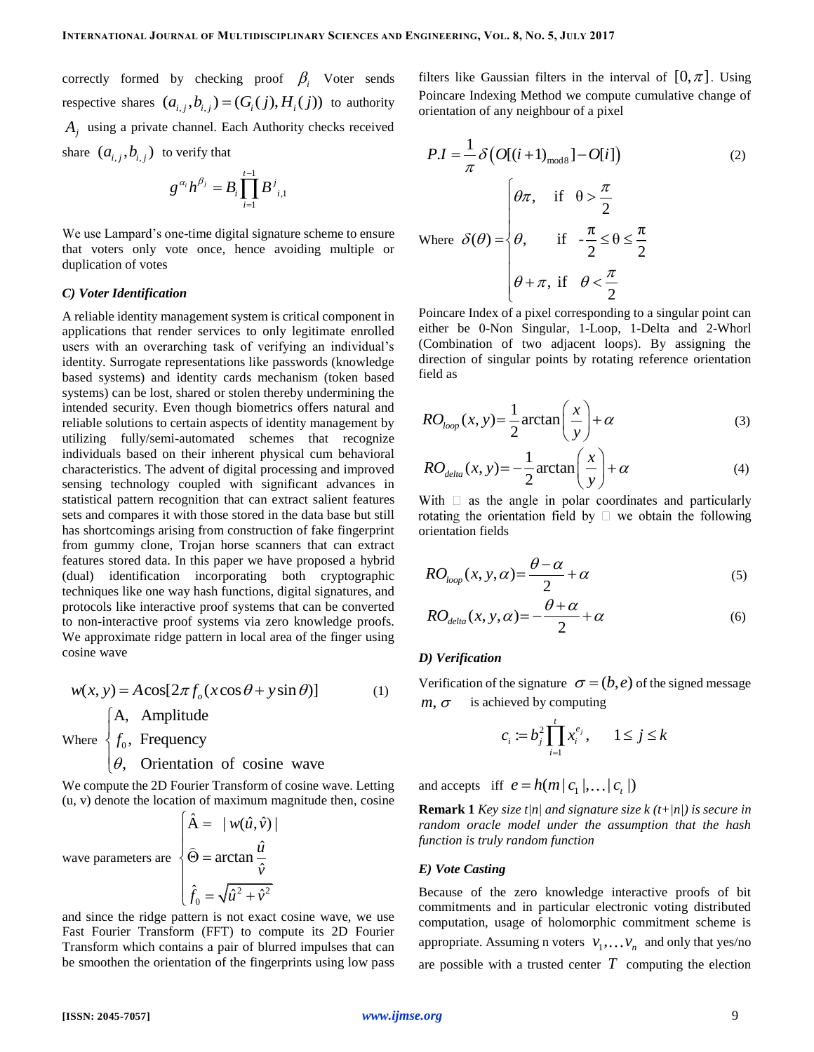correctly formed by checking proof  $\beta_i$  Voter sends respective shares  $(a_{i,j}, b_{i,j}) = (G_i(j), H_i(j))$  to authority *Aj* using a private channel. Each Authority checks received share  $(a_{i,j}, b_{i,j})$  to verify that

$$
g^{\alpha_i}h^{\beta_j}=B_i\prod_{i=1}^{t-1}B^j_{i,1}
$$

We use Lampard's one-time digital signature scheme to ensure that voters only vote once, hence avoiding multiple or duplication of votes

# *C) Voter Identification*

A reliable identity management system is critical component in applications that render services to only legitimate enrolled users with an overarching task of verifying an individual's identity. Surrogate representations like passwords (knowledge based systems) and identity cards mechanism (token based systems) can be lost, shared or stolen thereby undermining the intended security. Even though biometrics offers natural and reliable solutions to certain aspects of identity management by utilizing fully/semi-automated schemes that recognize individuals based on their inherent physical cum behavioral characteristics. The advent of digital processing and improved sensing technology coupled with significant advances in statistical pattern recognition that can extract salient features sets and compares it with those stored in the data base but still has shortcomings arising from construction of fake fingerprint from gummy clone, Trojan horse scanners that can extract features stored data. In this paper we have proposed a hybrid (dual) identification incorporating both cryptographic techniques like one way hash functions, digital signatures, and protocols like interactive proof systems that can be converted to non-interactive proof systems via zero knowledge proofs. We approximate ridge pattern in local area of the finger using cosine wave

$$
w(x, y) = A\cos[2\pi f_o(x\cos\theta + y\sin\theta)]
$$
 (1)  
where 
$$
\begin{cases} A, \text{ Amplitude} \\ f_0, \text{ Frequency} \\ \theta, \text{ Orientation of cosine wave} \end{cases}
$$

We compute the 2D Fourier Transform of cosine wave. Letting (u, v) denote the location of maximum magnitude then, cosine

 $\overline{ }$ 

 $\hat{A} = | w(\hat{u}, \hat{v}) |$ 

 $w(\hat{u}, \hat{v})$ 

wave parameters are

$$
\begin{cases}\n\hat{\mathbf{A}} = |w(\hat{u}, \hat{v})| \\
\hat{\mathbf{\Theta}} = \arctan \frac{\hat{u}}{\hat{v}} \\
\hat{f}_0 = \sqrt{\hat{u}^2 + \hat{v}^2}\n\end{cases}
$$

and since the ridge pattern is not exact cosine wave, we use Fast Fourier Transform (FFT) to compute its 2D Fourier Transform which contains a pair of blurred impulses that can be smoothen the orientation of the fingerprints using low pass

filters like Gaussian filters in the interval of  $[0, \pi]$ . Using Poincare Indexing Method we compute cumulative change of orientation of any neighbour of a pixel

$$
P.I = \frac{1}{\pi} \delta \left( O[(i+1)_{\text{mod}8}] - O[i] \right)
$$
(2)  
Where  $\delta(\theta) = \begin{cases} \theta \pi, & \text{if } \theta > \frac{\pi}{2} \\ \theta, & \text{if } -\frac{\pi}{2} \le \theta \le \frac{\pi}{2} \\ \theta + \pi, & \text{if } \theta < \frac{\pi}{2} \end{cases}$ 

Poincare Index of a pixel corresponding to a singular point can either be 0-Non Singular, 1-Loop, 1-Delta and 2-Whorl (Combination of two adjacent loops). By assigning the direction of singular points by rotating reference orientation field as

$$
RO_{loop}(x, y) = \frac{1}{2} \arctan\left(\frac{x}{y}\right) + \alpha
$$
 (3)

$$
RO_{delta}(x, y) = -\frac{1}{2} \arctan\left(\frac{x}{y}\right) + \alpha
$$
 (4)

rotating the orientation field by  $\Box$  we obtain the following orientation fields

$$
RO_{loop}(x, y, \alpha) = \frac{\theta - \alpha}{2} + \alpha
$$
 (5)

$$
RO_{delta}(x, y, \alpha) = -\frac{\theta + \alpha}{2} + \alpha
$$
 (6)

### *D) Verification*

Verification of the signature  $\sigma = (b, e)$  of the signed message  $m, \sigma$  is achieved by computing

$$
c_i := b_j^2 \prod_{i=1}^t x_i^{e_j}, \qquad 1 \le j \le k
$$

and accepts iff  $e = h(m | c_1 |, \ldots | c_t |)$ 

**Remark 1** *Key size t|n| and signature size k (t+|n|) is secure in random oracle model under the assumption that the hash function is truly random function*

#### *E) Vote Casting*

Because of the zero knowledge interactive proofs of bit commitments and in particular electronic voting distributed computation, usage of holomorphic commitment scheme is appropriate. Assuming n voters  $v_1, \ldots, v_n$  and only that yes/no are possible with a trusted center  $T$  computing the election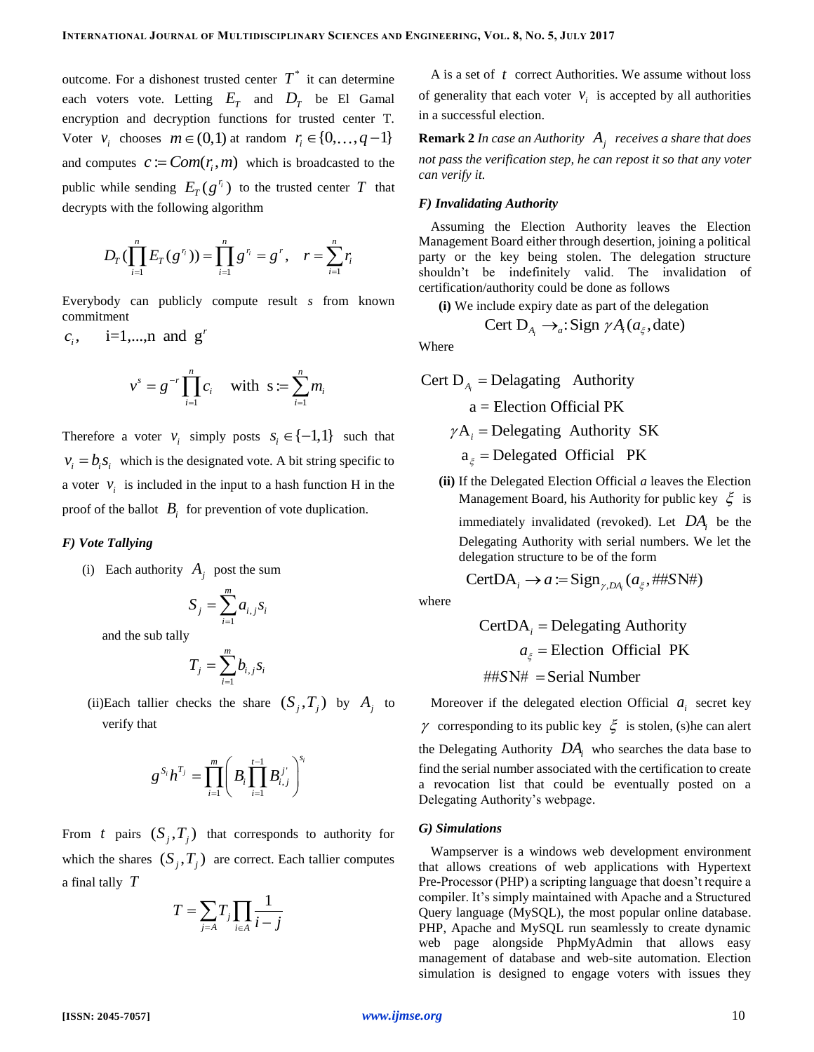outcome. For a dishonest trusted center  $T^*$  it can determine each voters vote. Letting  $E_T$  and  $D_T$  be El Gamal encryption and decryption functions for trusted center T. Voter  $v_i$  chooses  $m \in (0,1)$  at random  $r_i \in \{0, ..., q-1\}$ and computes  $c := Com(r_i, m)$  which is broadcasted to the public while sending  $E_T(g^{r_i})$  to the trusted center T that decrypts with the following algorithm

$$
D_T(\prod_{i=1}^n E_T(g^{r_i})) = \prod_{i=1}^n g^{r_i} = g^r, \quad r = \sum_{i=1}^n r_i
$$

Everybody can publicly compute result *s* from known commitment

 $i=1,...,n$  and  $g<sup>r</sup>$ *i c*

$$
v^s = g^{-r} \prod_{i=1}^n c_i
$$
 with  $s := \sum_{i=1}^n m_i$ 

Therefore a voter  $v_i$  simply posts  $s_i \in \{-1,1\}$  such that  $v_i = b_i s_i$  which is the designated vote. A bit string specific to a voter  $V_i$  is included in the input to a hash function H in the proof of the ballot  $B_i$  for prevention of vote duplication.

#### *F) Vote Tallying*

(i) Each authority  $A_j$  post the sum

$$
S_j = \sum_{i=1}^m a_{i,j} s_i
$$

and the sub tally

$$
T_j = \sum_{i=1}^m b_{i,j} s_i
$$

(ii)Each tallier checks the share  $(S_j, T_j)$  by  $A_j$  to verify that

*i*

$$
g^{S_i}h^{T_j} = \prod_{i=1}^m \left(B_i \prod_{i=1}^{t-1} B_{i,j}^{j^*}\right)^{s_i}
$$

From *t* pairs  $(S_j, T_j)$  that corresponds to authority for which the shares  $(S_j, T_j)$  are correct. Each tallier computes a final tally *T*

$$
T = \sum_{j=A} T_j \prod_{i \in A} \frac{1}{i-j}
$$

A is a set of *t* correct Authorities. We assume without loss of generality that each voter  $v_i$  is accepted by all authorities in a successful election.

**Remark 2** *In case an Authority Aj receives a share that does not pass the verification step, he can repost it so that any voter can verify it.*

## *F) Invalidating Authority*

Assuming the Election Authority leaves the Election Management Board either through desertion, joining a political party or the key being stolen. The delegation structure shouldn't be indefinitely valid. The invalidation of certification/authority could be done as follows

**(i)** We include expiry date as part of the delegation

include expiry date as part of the delega  
Cert 
$$
D_{A_i} \rightarrow_a : Sign \gamma A_i (a_{\xi}, date)
$$

Where

Cert D<sub>A<sub>i</sub></sub> = Delagating Authority

\na = Electron Official PK

\n
$$
\gamma A_i
$$
 = Delegating Authority SK

 $\gamma A_i$  = Delegating Authority S<br> $a_{\xi}$  = Delegated Official PK

**(ii)** If the Delegated Election Official *a* leaves the Election Management Board, his Authority for public key  $\xi$  is immediately invalidated (revoked). Let  $DA_i$  be the Delegating Authority with serial numbers. We let the delegation structure to be of the form<br>  $\text{CertDA}_i \rightarrow a := \text{Sign}_{\gamma, DA_i}(a_{\xi}, \text{#HSNH})$ 

$$
CertDA_{i} \rightarrow a := Sign_{\gamma, DA_{i}}(a_{\xi}, \#HSN\#)
$$

where

CertDA<sub>*i*</sub> = Delegating Authority  

$$
a_{\xi}
$$
 = Electron Official PK  
##SN# = Serial Number

Moreover if the delegated election Official  $a_i$  secret key  $\gamma$  corresponding to its public key  $\xi$  is stolen, (s) he can alert the Delegating Authority  $DA_i$  who searches the data base to find the serial number associated with the certification to create a revocation list that could be eventually posted on a Delegating Authority's webpage.

#### *G) Simulations*

Wampserver is a windows web development environment that allows creations of web applications with Hypertext Pre-Processor (PHP) a scripting language that doesn't require a compiler. It's simply maintained with Apache and a Structured Query language (MySQL), the most popular online database. PHP, Apache and MySQL run seamlessly to create dynamic web page alongside PhpMyAdmin that allows easy management of database and web-site automation. Election simulation is designed to engage voters with issues they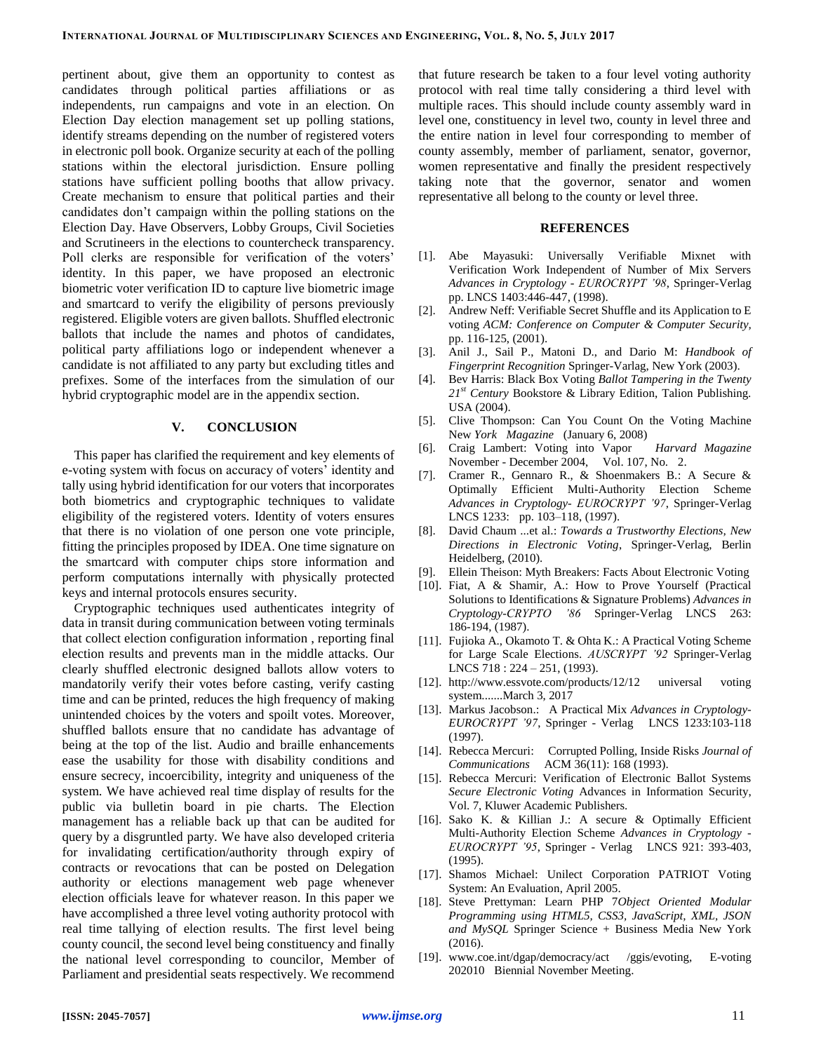pertinent about, give them an opportunity to contest as candidates through political parties affiliations or as independents, run campaigns and vote in an election. On Election Day election management set up polling stations, identify streams depending on the number of registered voters in electronic poll book. Organize security at each of the polling stations within the electoral jurisdiction. Ensure polling stations have sufficient polling booths that allow privacy. Create mechanism to ensure that political parties and their candidates don't campaign within the polling stations on the Election Day. Have Observers, Lobby Groups, Civil Societies and Scrutineers in the elections to countercheck transparency. Poll clerks are responsible for verification of the voters' identity. In this paper, we have proposed an electronic biometric voter verification ID to capture live biometric image and smartcard to verify the eligibility of persons previously registered. Eligible voters are given ballots. Shuffled electronic ballots that include the names and photos of candidates, political party affiliations logo or independent whenever a candidate is not affiliated to any party but excluding titles and prefixes. Some of the interfaces from the simulation of our hybrid cryptographic model are in the appendix section.

# **V. CONCLUSION**

This paper has clarified the requirement and key elements of e-voting system with focus on accuracy of voters' identity and tally using hybrid identification for our voters that incorporates both biometrics and cryptographic techniques to validate eligibility of the registered voters. Identity of voters ensures that there is no violation of one person one vote principle, fitting the principles proposed by IDEA. One time signature on the smartcard with computer chips store information and perform computations internally with physically protected keys and internal protocols ensures security.

Cryptographic techniques used authenticates integrity of data in transit during communication between voting terminals that collect election configuration information , reporting final election results and prevents man in the middle attacks. Our clearly shuffled electronic designed ballots allow voters to mandatorily verify their votes before casting, verify casting time and can be printed, reduces the high frequency of making unintended choices by the voters and spoilt votes. Moreover, shuffled ballots ensure that no candidate has advantage of being at the top of the list. Audio and braille enhancements ease the usability for those with disability conditions and ensure secrecy, incoercibility, integrity and uniqueness of the system. We have achieved real time display of results for the public via bulletin board in pie charts. The Election management has a reliable back up that can be audited for query by a disgruntled party. We have also developed criteria for invalidating certification/authority through expiry of contracts or revocations that can be posted on Delegation authority or elections management web page whenever election officials leave for whatever reason. In this paper we have accomplished a three level voting authority protocol with real time tallying of election results. The first level being county council, the second level being constituency and finally the national level corresponding to councilor, Member of Parliament and presidential seats respectively. We recommend

that future research be taken to a four level voting authority protocol with real time tally considering a third level with multiple races. This should include county assembly ward in level one, constituency in level two, county in level three and the entire nation in level four corresponding to member of county assembly, member of parliament, senator, governor, women representative and finally the president respectively taking note that the governor, senator and women representative all belong to the county or level three.

#### **REFERENCES**

- [1]. Abe Mayasuki: Universally Verifiable Mixnet with Verification Work Independent of Number of Mix Servers *Advances in Cryptology - EUROCRYPT '98*, Springer-Verlag pp. LNCS 1403:446-447, (1998).
- [2]. Andrew Neff: Verifiable Secret Shuffle and its Application to E voting *ACM: Conference on Computer & Computer Security,* pp. 116-125, (2001).
- [3]. Anil J., Sail P., Matoni D., and Dario M: *Handbook of Fingerprint Recognition* Springer-Varlag, New York (2003).
- [4]. Bev Harris: Black Box Voting *Ballot Tampering in the Twenty 21st Century* Bookstore & Library Edition, Talion Publishing. USA (2004).
- [5]. Clive Thompson: Can You Count On the Voting Machine New *York Magazine* (January 6, 2008)
- [6]. Craig Lambert: Voting into Vapor *Harvard Magazine* November - December 2004, Vol. 107, No. 2.
- [7]. Cramer R., Gennaro R., & Shoenmakers B.: A Secure & Optimally Efficient Multi-Authority Election Scheme *Advances in Cryptology- EUROCRYPT '97*, Springer-Verlag LNCS 1233: pp. 103–118, (1997).
- [8]. David Chaum ...et al.: *Towards a Trustworthy Elections, New Directions in Electronic Voting*, Springer-Verlag, Berlin Heidelberg, (2010).
- [9]. Ellein Theison: Myth Breakers: Facts About Electronic Voting
- [10]. Fiat, A & Shamir, A.: How to Prove Yourself (Practical Solutions to Identifications & Signature Problems) *Advances in Cryptology-CRYPTO '86* Springer-Verlag LNCS 263: 186-194, (1987).
- [11]. Fujioka A., Okamoto T. & Ohta K.: A Practical Voting Scheme for Large Scale Elections. *AUSCRYPT '92* Springer-Verlag LNCS 718 : 224 – 251, (1993).
- [12]. http://www.essvote.com/products/12/12 universal voting system.......March 3, 2017
- [13]. Markus Jacobson.: A Practical Mix *Advances in Cryptology-EUROCRYPT '97*, Springer - Verlag LNCS 1233:103-118 (1997).
- [14]. Rebecca Mercuri: Corrupted Polling, Inside Risks *Journal of Communications* ACM 36(11): 168 (1993).
- [15]. Rebecca Mercuri: Verification of Electronic Ballot Systems *Secure Electronic Voting* Advances in Information Security, Vol. 7, Kluwer Academic Publishers.
- [16]. Sako K. & Killian J.: A secure & Optimally Efficient Multi-Authority Election Scheme *Advances in Cryptology - EUROCRYPT '95*, Springer - Verlag LNCS 921: 393-403, (1995).
- [17]. Shamos Michael: Unilect Corporation PATRIOT Voting System: An Evaluation, April 2005.
- [18]. Steve Prettyman: Learn PHP 7*Object Oriented Modular Programming using HTML5, CSS3, JavaScript, XML, JSON and MySQL* Springer Science + Business Media New York (2016).
- [19]. www.coe.int/dgap/democracy/act /ggis/evoting, E-voting 202010 Biennial November Meeting.